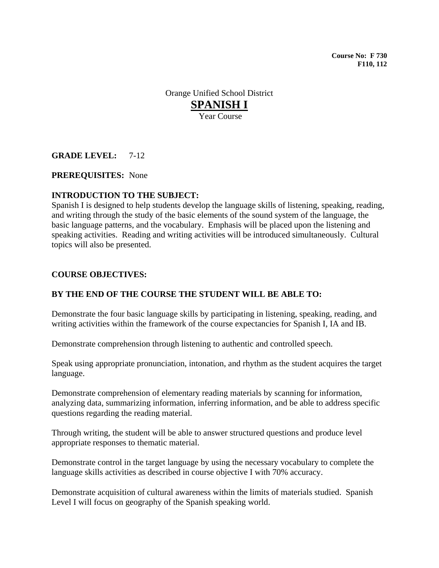**Course No: F 730 F110, 112** 

Orange Unified School District **SPANISH I** Year Course

# **GRADE LEVEL:** 7-12

## **PREREQUISITES:** None

## **INTRODUCTION TO THE SUBJECT:**

Spanish I is designed to help students develop the language skills of listening, speaking, reading, and writing through the study of the basic elements of the sound system of the language, the basic language patterns, and the vocabulary. Emphasis will be placed upon the listening and speaking activities. Reading and writing activities will be introduced simultaneously. Cultural topics will also be presented.

## **COURSE OBJECTIVES:**

# **BY THE END OF THE COURSE THE STUDENT WILL BE ABLE TO:**

Demonstrate the four basic language skills by participating in listening, speaking, reading, and writing activities within the framework of the course expectancies for Spanish I, IA and IB.

Demonstrate comprehension through listening to authentic and controlled speech.

Speak using appropriate pronunciation, intonation, and rhythm as the student acquires the target language.

Demonstrate comprehension of elementary reading materials by scanning for information, analyzing data, summarizing information, inferring information, and be able to address specific questions regarding the reading material.

Through writing, the student will be able to answer structured questions and produce level appropriate responses to thematic material.

Demonstrate control in the target language by using the necessary vocabulary to complete the language skills activities as described in course objective I with 70% accuracy.

Demonstrate acquisition of cultural awareness within the limits of materials studied. Spanish Level I will focus on geography of the Spanish speaking world.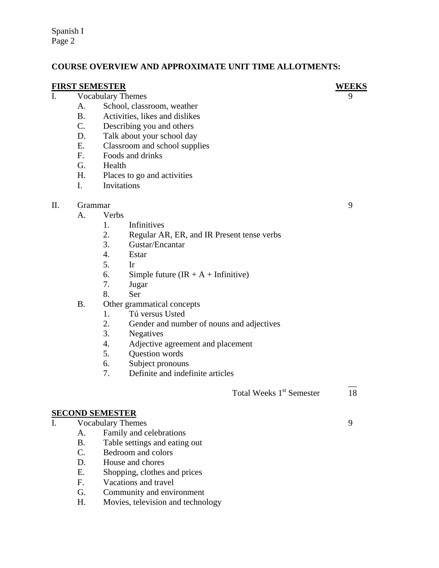Spanish I Page 2

# **COURSE OVERVIEW AND APPROXIMATE UNIT TIME ALLOTMENTS:**

**FIRST SEMESTER**<br> **I** Vocabulary Themes 9 Vocabulary Themes

- A. School, classroom, weather
- B. Activities, likes and dislikes
- C. Describing you and others
- D. Talk about your school day
- E. Classroom and school supplies
- F. Foods and drinks
- G. Health
- H. Places to go and activities
- I. Invitations

## II. Grammar 9

- A. Verbs
	- 1. Infinitives
	- 2. Regular AR, ER, and IR Present tense verbs
	- 3. Gustar/Encantar
	- 4. Estar
	- 5. Ir
	- 6. Simple future  $(IR + A + Infinitive)$
	- 7. Jugar
	- 8. Ser
- B. Other grammatical concepts
	- 1. Tú versus Usted
	- 2. Gender and number of nouns and adjectives
	- 3. Negatives
	- 4. Adjective agreement and placement
	- 5. Question words
	- 6. Subject pronouns
	- 7. Definite and indefinite articles

 $\mathcal{L}_\mathcal{L}$  , the contract of the contract of the contract of the contract of the contract of the contract of Total Weeks 1<sup>st</sup> Semester 18

# **SECOND SEMESTER**

- I. Vocabulary Themes 9
	- A. Family and celebrations
	- B. Table settings and eating out
	- C. Bedroom and colors
	- D. House and chores
	- E. Shopping, clothes and prices
	- F. Vacations and travel
	- G. Community and environment
	- H. Movies, television and technology